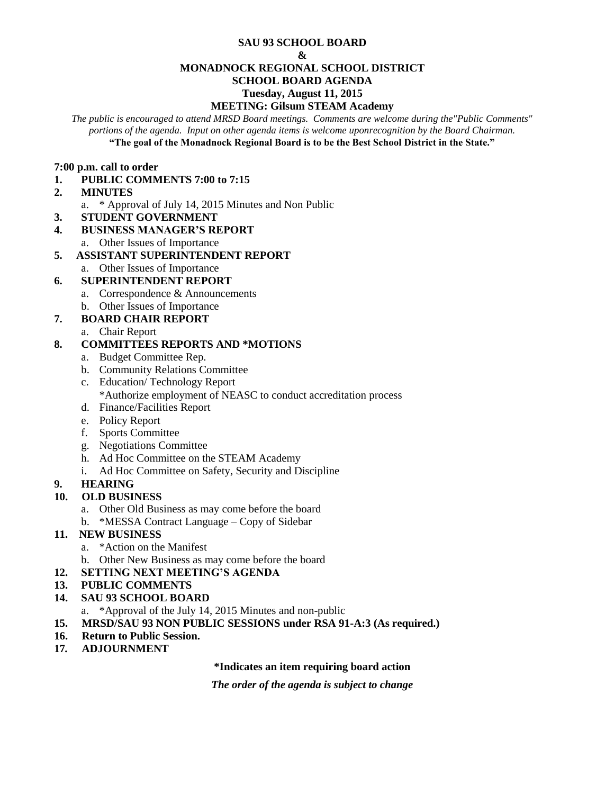#### **SAU 93 SCHOOL BOARD**

#### **&**

## **MONADNOCK REGIONAL SCHOOL DISTRICT**

# **SCHOOL BOARD AGENDA**

## **Tuesday, August 11, 2015**

# **MEETING: Gilsum STEAM Academy**

*The public is encouraged to attend MRSD Board meetings. Comments are welcome during the"Public Comments" portions of the agenda. Input on other agenda items is welcome uponrecognition by the Board Chairman.* **"The goal of the Monadnock Regional Board is to be the Best School District in the State."**

## **7:00 p.m. call to order**

- **1. PUBLIC COMMENTS 7:00 to 7:15**
- **2. MINUTES** 
	- a. \* Approval of July 14, 2015 Minutes and Non Public
- **3. STUDENT GOVERNMENT**
- **4. BUSINESS MANAGER'S REPORT** 
	- a. Other Issues of Importance

# **5. ASSISTANT SUPERINTENDENT REPORT**

a. Other Issues of Importance

# **6. SUPERINTENDENT REPORT**

- a. Correspondence & Announcements
- b. Other Issues of Importance

# **7. BOARD CHAIR REPORT**

a. Chair Report

# **8. COMMITTEES REPORTS AND \*MOTIONS**

- a. Budget Committee Rep.
- b. Community Relations Committee
- c. Education/ Technology Report
	- \*Authorize employment of NEASC to conduct accreditation process
- d. Finance/Facilities Report
- e. Policy Report
- f. Sports Committee
- g. Negotiations Committee
- h. Ad Hoc Committee on the STEAM Academy
- i. Ad Hoc Committee on Safety, Security and Discipline

# **9. HEARING**

# **10. OLD BUSINESS**

- a. Other Old Business as may come before the board
- b. \*MESSA Contract Language Copy of Sidebar

# **11. NEW BUSINESS**

- a. \*Action on the Manifest
- b. Other New Business as may come before the board
- **12. SETTING NEXT MEETING'S AGENDA**
- **13. PUBLIC COMMENTS**

# **14. SAU 93 SCHOOL BOARD**

- a. \*Approval of the July 14, 2015 Minutes and non-public
- **15. MRSD/SAU 93 NON PUBLIC SESSIONS under RSA 91-A:3 (As required.)**
- **16. Return to Public Session.**
- **17***.* **ADJOURNMENT**

# **\*Indicates an item requiring board action**

*The order of the agenda is subject to change*